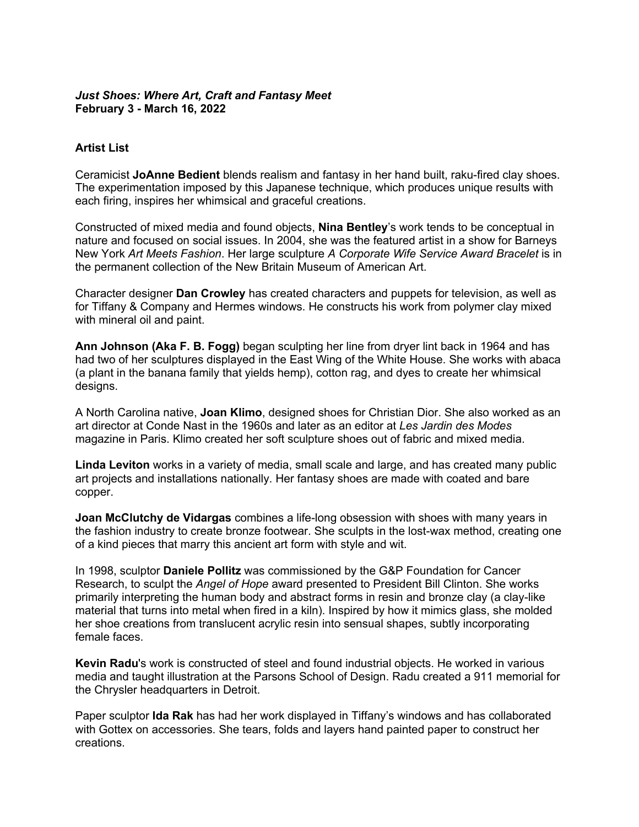## *Just Shoes: Where Art, Craft and Fantasy Meet* **February 3 - March 16, 2022**

## **Artist List**

Ceramicist **JoAnne Bedient** blends realism and fantasy in her hand built, raku-fired clay shoes. The experimentation imposed by this Japanese technique, which produces unique results with each firing, inspires her whimsical and graceful creations.

Constructed of mixed media and found objects, **Nina Bentley**'s work tends to be conceptual in nature and focused on social issues. In 2004, she was the featured artist in a show for Barneys New York *Art Meets Fashion*. Her large sculpture *A Corporate Wife Service Award Bracelet* is in the permanent collection of the New Britain Museum of American Art.

Character designer **Dan Crowley** has created characters and puppets for television, as well as for Tiffany & Company and Hermes windows. He constructs his work from polymer clay mixed with mineral oil and paint.

**Ann Johnson (Aka F. B. Fogg)** began sculpting her line from dryer lint back in 1964 and has had two of her sculptures displayed in the East Wing of the White House. She works with abaca (a plant in the banana family that yields hemp), cotton rag, and dyes to create her whimsical desians.

A North Carolina native, **Joan Klimo**, designed shoes for Christian Dior. She also worked as an art director at Conde Nast in the 1960s and later as an editor at *Les Jardin des Modes* magazine in Paris. Klimo created her soft sculpture shoes out of fabric and mixed media.

**Linda Leviton** works in a variety of media, small scale and large, and has created many public art projects and installations nationally. Her fantasy shoes are made with coated and bare copper.

**Joan McClutchy de Vidargas** combines a life-long obsession with shoes with many years in the fashion industry to create bronze footwear. She sculpts in the lost-wax method, creating one of a kind pieces that marry this ancient art form with style and wit.

In 1998, sculptor **Daniele Pollitz** was commissioned by the G&P Foundation for Cancer Research, to sculpt the *Angel of Hope* award presented to President Bill Clinton. She works primarily interpreting the human body and abstract forms in resin and bronze clay (a clay-like material that turns into metal when fired in a kiln). Inspired by how it mimics glass, she molded her shoe creations from translucent acrylic resin into sensual shapes, subtly incorporating female faces.

**Kevin Radu**'s work is constructed of steel and found industrial objects. He worked in various media and taught illustration at the Parsons School of Design. Radu created a 911 memorial for the Chrysler headquarters in Detroit.

Paper sculptor **Ida Rak** has had her work displayed in Tiffany's windows and has collaborated with Gottex on accessories. She tears, folds and layers hand painted paper to construct her creations.